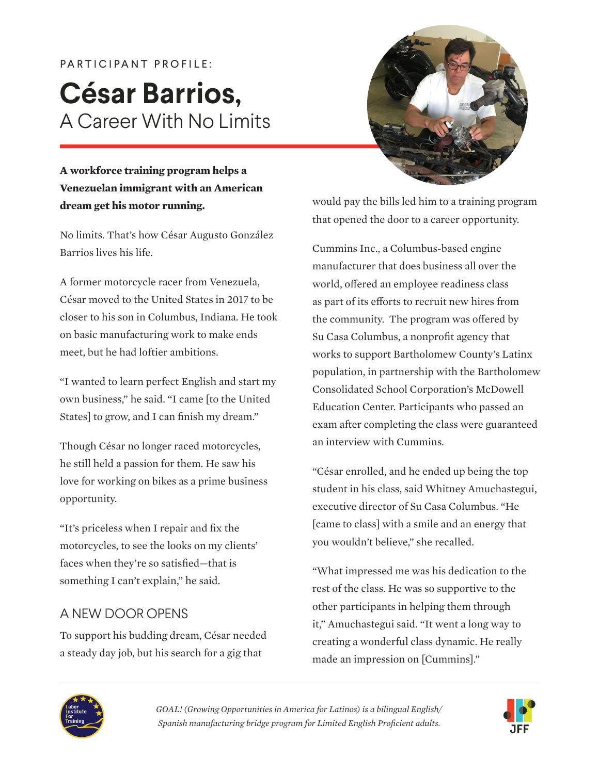# PARTICIPANT PROFILE: **César Barrios,** A Career With No Limits



#### **A workforce training program helps a Venezuelan immigrant with an American dream get his motor running.**

No limits. That's how César Augusto González Barrios lives his life.

A former motorcycle racer from Venezuela, César moved to the United States in 2017 to be closer to his son in Columbus, Indiana. He took on basic manufacturing work to make ends meet, but he had loftier ambitions.

"I wanted to learn perfect English and start my own business," he said. "I came [to the United States] to grow, and I can finish my dream."

Though César no longer raced motorcycles, he still held a passion for them. He saw his love for working on bikes as a prime business opportunity.

"It's priceless when I repair and fix the motorcycles, to see the looks on my clients' faces when they're so satisfied—that is something I can't explain," he said.

## A NEW DOOR OPENS

To support his budding dream, César needed a steady day job, but his search for a gig that

would pay the bills led him to a training program that opened the door to a career opportunity.

Cummins Inc., a Columbus-based engine manufacturer that does business all over the world, offered an employee readiness class as part of its efforts to recruit new hires from the community. The program was offered by Su Casa Columbus, a nonprofit agency that works to support Bartholomew County's Latinx population, in partnership with the Bartholomew Consolidated School Corporation's McDowell Education Center. Participants who passed an exam after completing the class were guaranteed an interview with Cummins.

"César enrolled, and he ended up being the top student in his class, said Whitney Amuchastegui, executive director of Su Casa Columbus. "He [came to class] with a smile and an energy that you wouldn't believe," she recalled.

"What impressed me was his dedication to the rest of the class. He was so supportive to the other participants in helping them through it," Amuchastegui said. "It went a long way to creating a wonderful class dynamic. He really made an impression on [Cummins]."



*GOAL! (Growing Opportunities in America for Latinos) is a bilingual English/ Spanish manufacturing bridge program for Limited English Proficient adults.* 

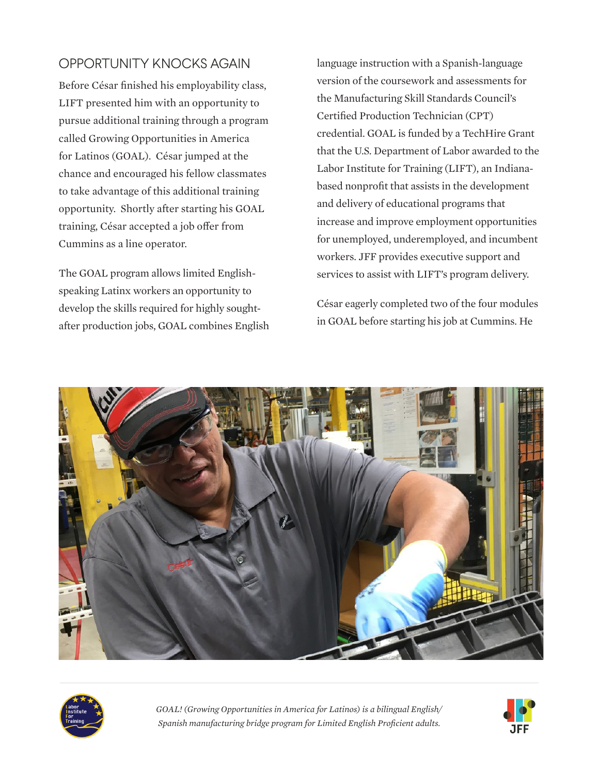## OPPORTUNITY KNOCKS AGAIN

Before César finished his employability class, LIFT presented him with an opportunity to pursue additional training through a program called Growing Opportunities in America for Latinos (GOAL). César jumped at the chance and encouraged his fellow classmates to take advantage of this additional training opportunity. Shortly after starting his GOAL training, César accepted a job offer from Cummins as a line operator.

The GOAL program allows limited Englishspeaking Latinx workers an opportunity to develop the skills required for highly soughtafter production jobs, GOAL combines English language instruction with a Spanish-language version of the coursework and assessments for the Manufacturing Skill Standards Council's Certified Production Technician (CPT) credential. GOAL is funded by a TechHire Grant that the U.S. Department of Labor awarded to the Labor Institute for Training (LIFT), an Indianabased nonprofit that assists in the development and delivery of educational programs that increase and improve employment opportunities for unemployed, underemployed, and incumbent workers. JFF provides executive support and services to assist with LIFT's program delivery.

César eagerly completed two of the four modules in GOAL before starting his job at Cummins. He





*GOAL! (Growing Opportunities in America for Latinos) is a bilingual English/ Spanish manufacturing bridge program for Limited English Proficient adults.*